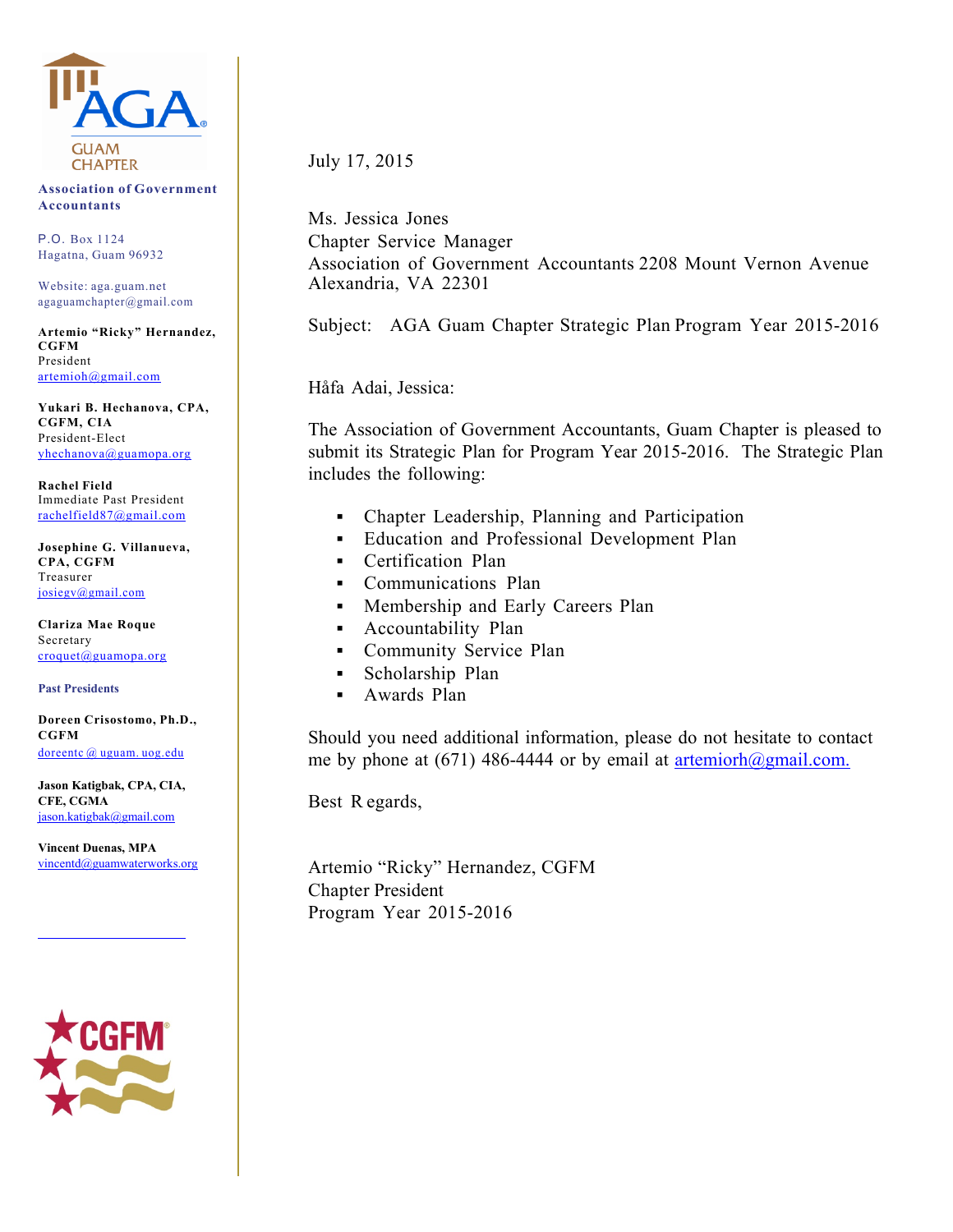

**Association of Government Accountants**

P.O. Box 1124 Hagatna, Guam 96932

Website: aga.guam.net agaguamchapter@gmail.com

**Artemio "Ricky" Hernandez, CGFM** President artemioh@gmail.com

**Yukari B. Hechanova, CPA, CGFM, CIA** President-Elect yhechanova@guamopa.org

**Rachel Field** Immediate Past President rachelfield87@gmail.com

**Josephine G. Villanueva, CPA, CGFM** Treasurer josiegv@gmail.com

**Clariza Mae Roque** Secretary croquet@guamopa.org

**Past Presidents** 

**Doreen Crisostomo, Ph.D., CGFM** doreentc @ uguam. uog.edu

**Jason Katigbak, CPA, CIA, CFE, CGMA**  jason.katigbak@gmail.com

**Vincent Duenas, MPA**  vincentd@guamwaterworks.org



July 17, 2015

Ms. Jessica Jones Chapter Service Manager Association of Government Accountants 2208 Mount Vernon Avenue Alexandria, VA 22301

Subject: AGA Guam Chapter Strategic Plan Program Year 2015-2016

Håfa Adai, Jessica:

The Association of Government Accountants, Guam Chapter is pleased to submit its Strategic Plan for Program Year 2015-2016. The Strategic Plan includes the following:

- Chapter Leadership, Planning and Participation
- **Education and Professional Development Plan**
- Certification Plan
- Communications Plan
- Membership and Early Careers Plan
- Accountability Plan
- Community Service Plan
- Scholarship Plan
- **Awards Plan**

Should you need additional information, please do not hesitate to contact me by phone at (671) 486-4444 or by email at artemiorh $\omega$ gmail.com.

Best R egards,

Artemio "Ricky" Hernandez, CGFM Chapter President Program Year 2015-2016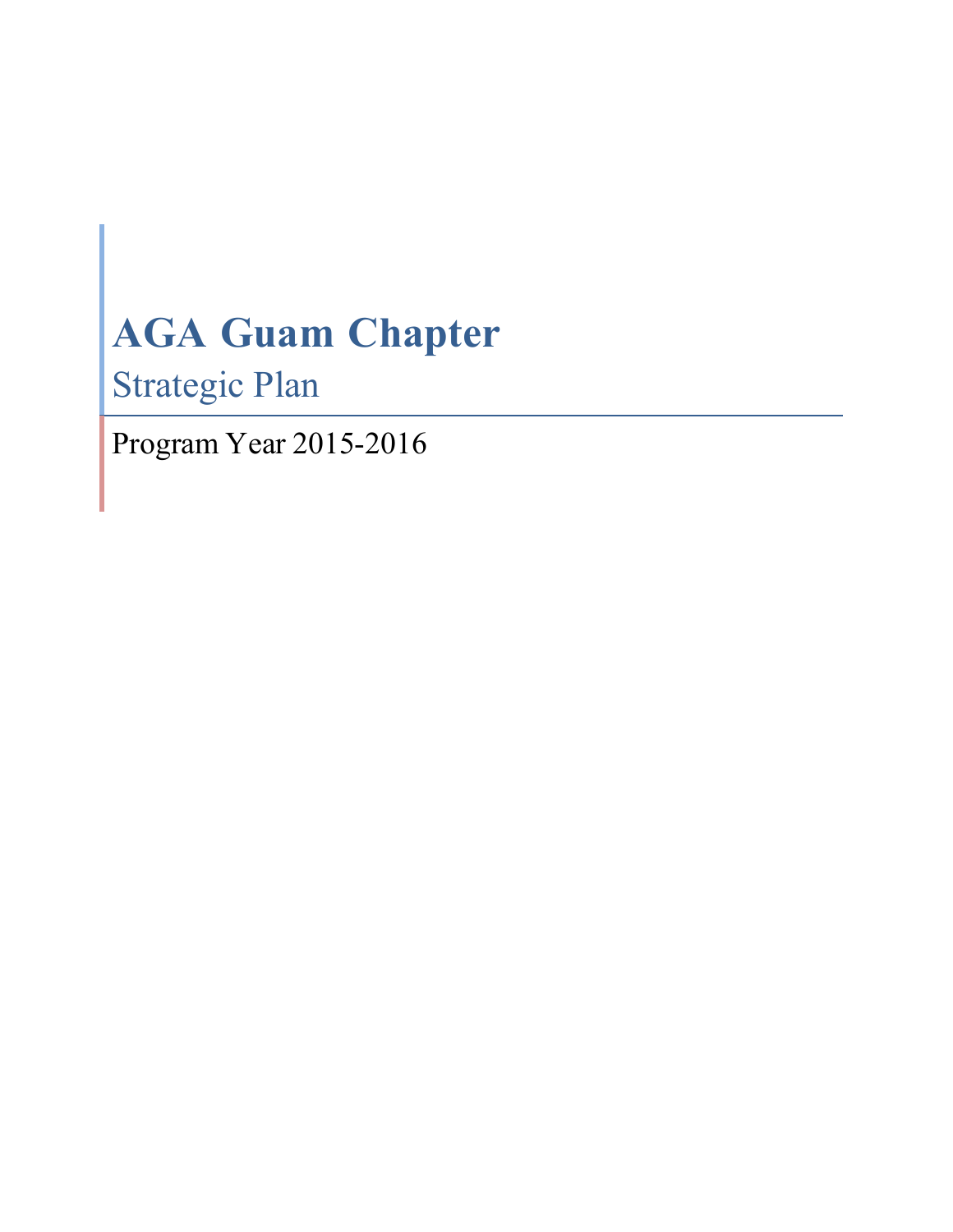# **AGA Guam Chapter**

Strategic Plan

Program Year 2015-2016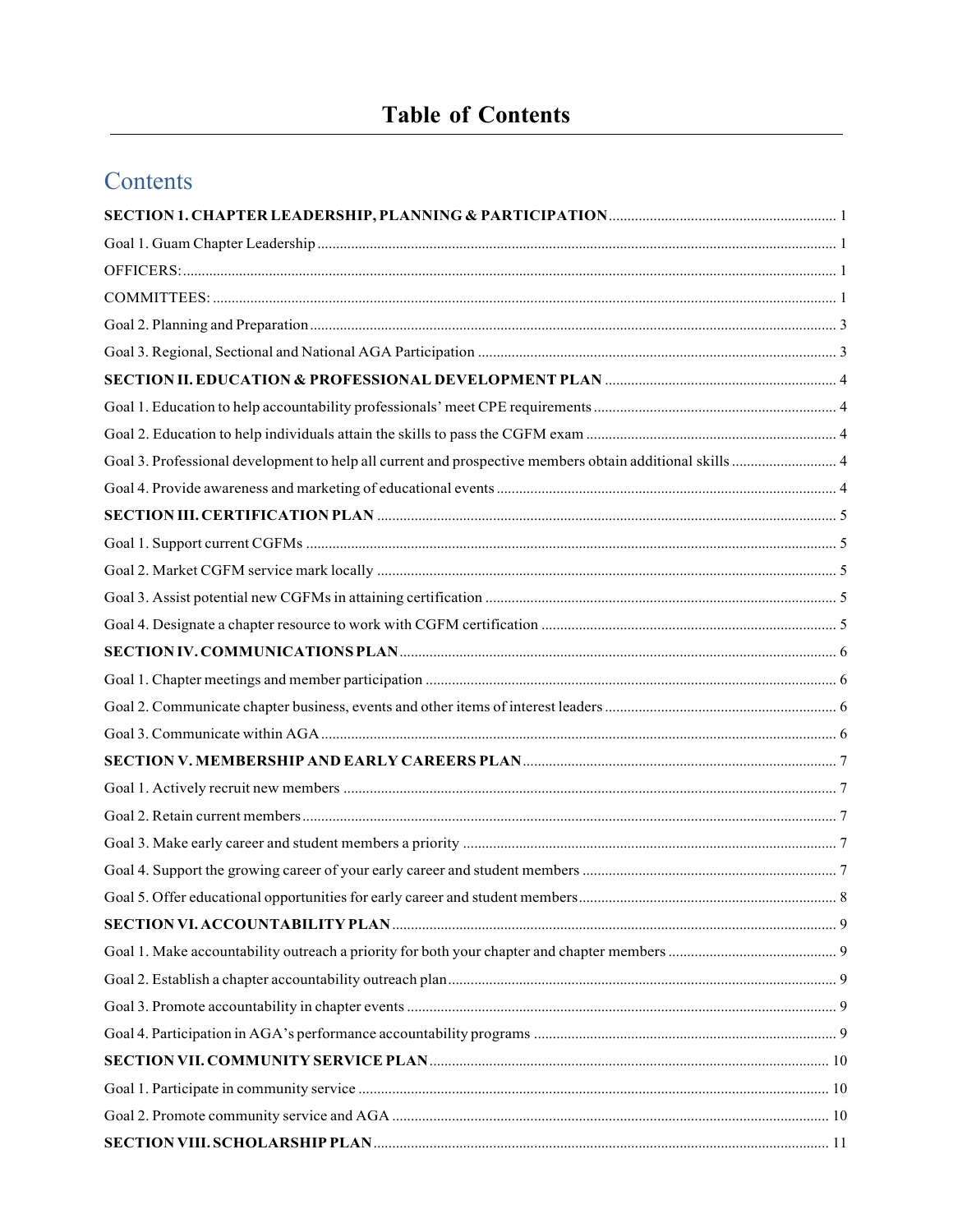# **Table of Contents**

# Contents

| Goal 3. Professional development to help all current and prospective members obtain additional skills  4 |  |
|----------------------------------------------------------------------------------------------------------|--|
|                                                                                                          |  |
|                                                                                                          |  |
|                                                                                                          |  |
|                                                                                                          |  |
|                                                                                                          |  |
|                                                                                                          |  |
|                                                                                                          |  |
|                                                                                                          |  |
|                                                                                                          |  |
|                                                                                                          |  |
|                                                                                                          |  |
|                                                                                                          |  |
|                                                                                                          |  |
|                                                                                                          |  |
|                                                                                                          |  |
|                                                                                                          |  |
|                                                                                                          |  |
|                                                                                                          |  |
|                                                                                                          |  |
|                                                                                                          |  |
|                                                                                                          |  |
|                                                                                                          |  |
|                                                                                                          |  |
|                                                                                                          |  |
|                                                                                                          |  |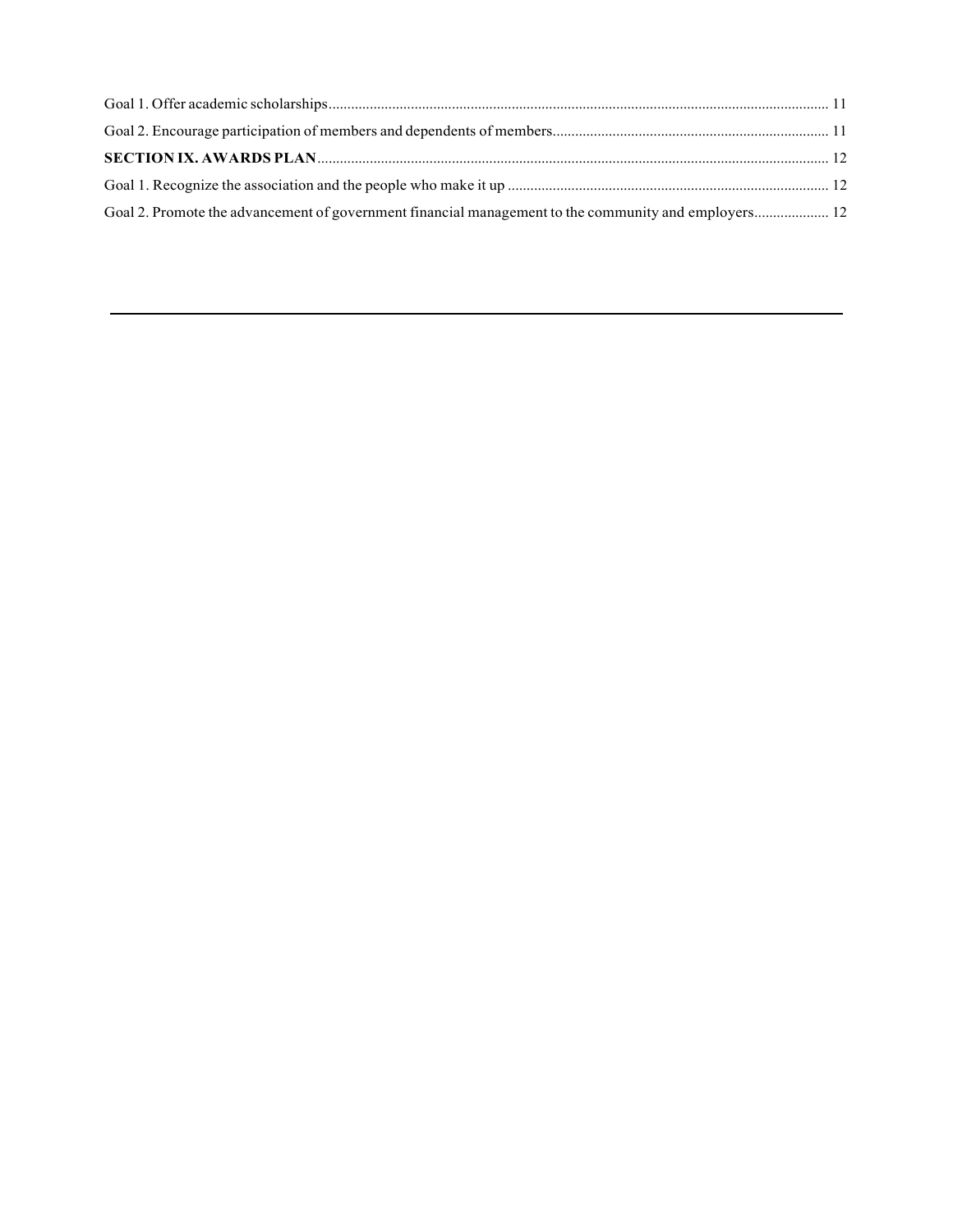| Goal 2. Promote the advancement of government financial management to the community and employers 12 |  |
|------------------------------------------------------------------------------------------------------|--|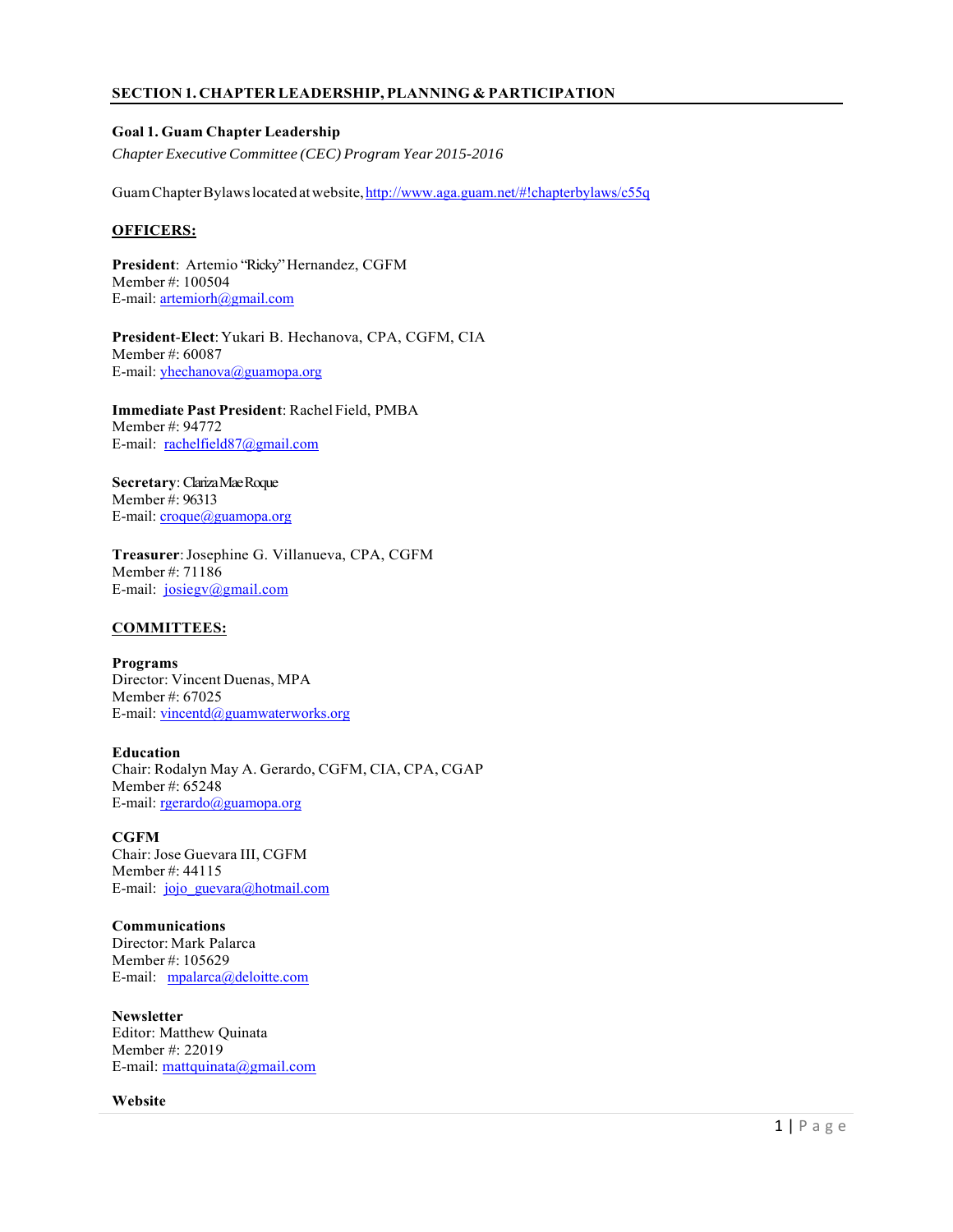# **SECTION 1. CHAPTER LEADERSHIP, PLANNING & PARTICIPATION**

#### **Goal 1. Guam Chapter Leadership**

*Chapter Executive Committee (CEC) Program Year 2015-2016*

Guam Chapter Bylaws located at website, http://www.aga.guam.net/#!chapterbylaws/c55q

# **OFFICERS:**

**President**: Artemio "Ricky" Hernandez, CGFM Member #: 100504 E-mail: artemiorh@gmail.com

**President**-**Elect**: Yukari B. Hechanova, CPA, CGFM, CIA Member #: 60087 E-mail: yhechanova@guamopa.org

**Immediate Past President**: Rachel Field, PMBA Member #: 94772 E-mail: rachelfield87@gmail.com

**Secretary**: Clariza Mae Roque Member #: 96313 E-mail: croque@guamopa.org

**Treasurer**: Josephine G. Villanueva, CPA, CGFM Member #: 71186 E-mail: josiegv@gmail.com

#### **COMMITTEES:**

**Programs**  Director: Vincent Duenas, MPA Member #: 67025 E-mail: vincentd@guamwaterworks.org

#### **Education**

Chair: Rodalyn May A. Gerardo, CGFM, CIA, CPA, CGAP Member #: 65248 E-mail: rgerardo@guamopa.org

#### **CGFM**

Chair: Jose Guevara III, CGFM Member #: 44115 E-mail: jojo\_guevara@hotmail.com

**Communications**  Director: Mark Palarca Member #: 105629 E-mail: mpalarca@deloitte.com

**Newsletter**  Editor: Matthew Quinata Member #: 22019 E-mail: mattquinata@gmail.com

#### **Website**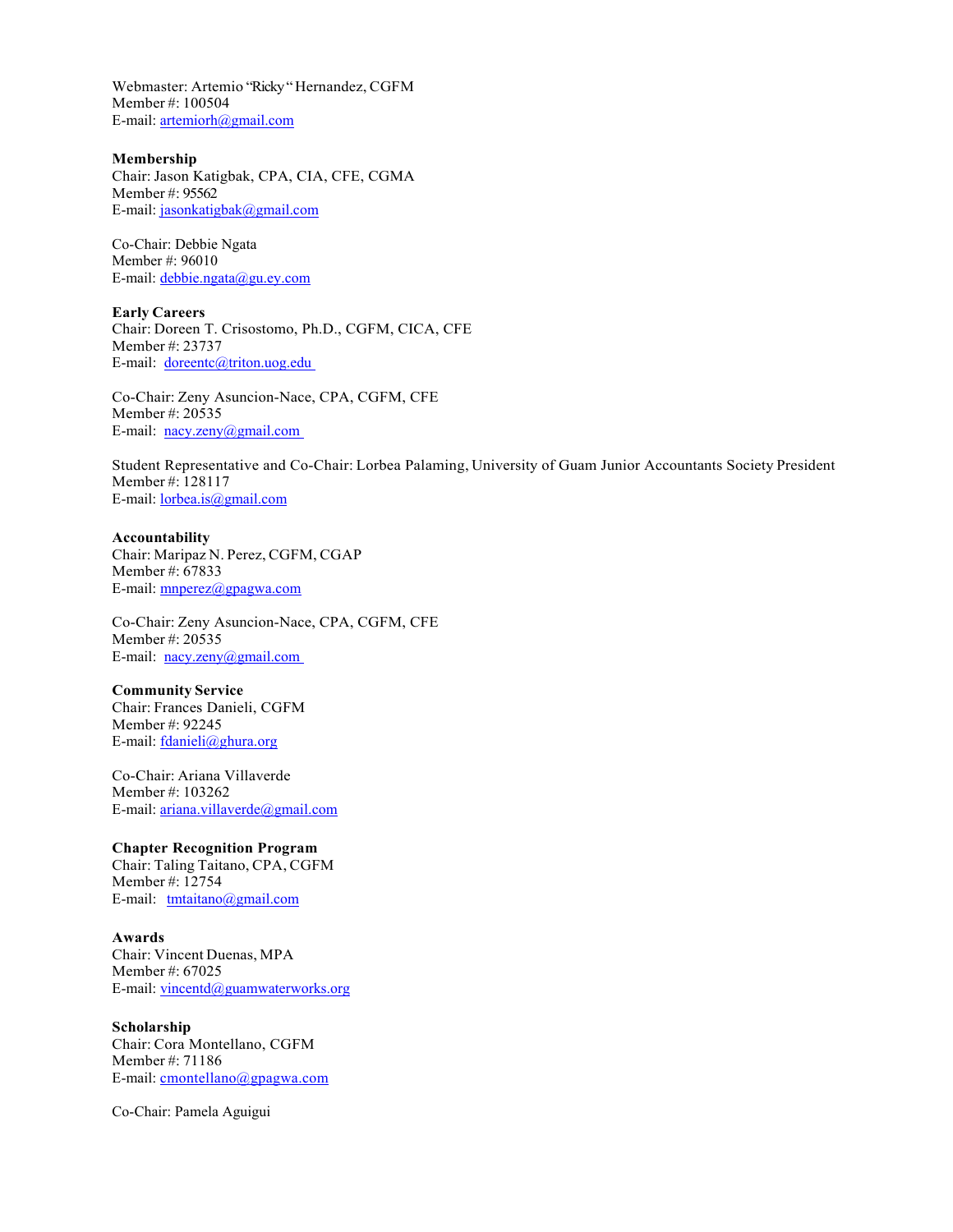Webmaster: Artemio "Ricky " Hernandez, CGFM Member #: 100504 E-mail: artemiorh@gmail.com

#### **Membership**

Chair: Jason Katigbak, CPA, CIA, CFE, CGMA Member #: 95562 E-mail: jasonkatigbak@gmail.com

Co-Chair: Debbie Ngata Member #: 96010 E-mail: debbie.ngata@gu.ey.com

**Early Careers** Chair: Doreen T. Crisostomo, Ph.D., CGFM, CICA, CFE Member #: 23737 E-mail: doreentc@triton.uog.edu

Co-Chair: Zeny Asuncion-Nace, CPA, CGFM, CFE Member #: 20535 E-mail: <u>nacy.zeny@gmail.com</u>

Student Representative and Co-Chair: Lorbea Palaming, University of Guam Junior Accountants Society President Member #: 128117 E-mail: lorbea.is@gmail.com

**Accountability**  Chair: Maripaz N. Perez, CGFM, CGAP Member #: 67833 E-mail: mnperez@gpagwa.com

Co-Chair: Zeny Asuncion-Nace, CPA, CGFM, CFE Member #: 20535 E-mail: <u>nacy.zeny@gmail.com</u>

**Community Service**  Chair: Frances Danieli, CGFM Member #: 92245 E-mail: fdanieli@ghura.org

Co-Chair: Ariana Villaverde Member #: 103262 E-mail: ariana.villaverde@gmail.com

#### **Chapter Recognition Program**

Chair: Taling Taitano, CPA, CGFM Member #: 12754 E-mail: tmtaitano@gmail.com

# **Awards**

Chair: Vincent Duenas, MPA Member #: 67025 E-mail: vincentd@guamwaterworks.org

#### **Scholarship**

Chair: Cora Montellano, CGFM Member #: 71186 E-mail: cmontellano@gpagwa.com

Co-Chair: Pamela Aguigui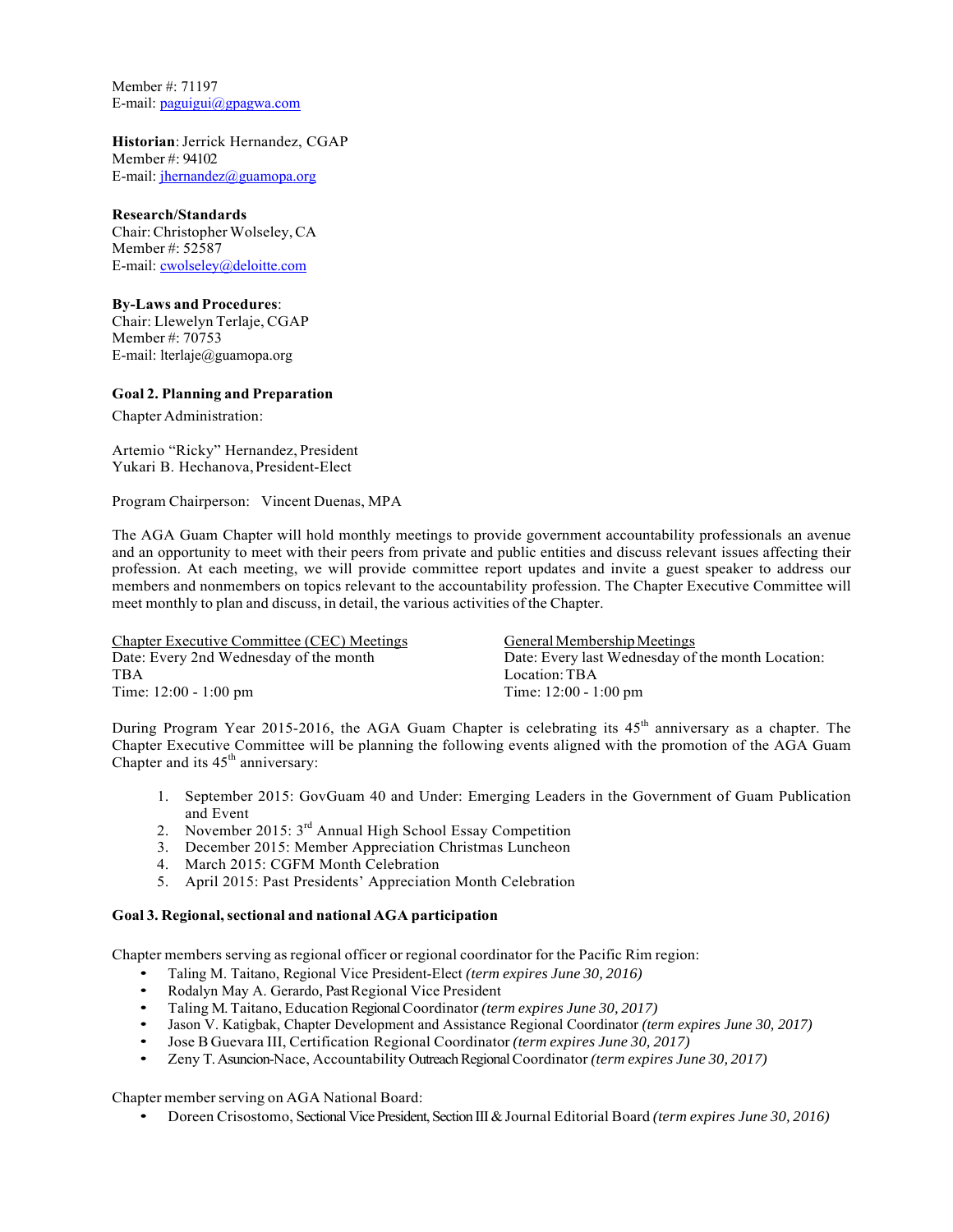Member #: 71197 E-mail: paguigui@gpagwa.com

**Historian**: Jerrick Hernandez, CGAP Member #: 94102 E-mail: jhernandez@guamopa.org

#### **Research/Standards**

Chair: Christopher Wolseley, CA Member #: 52587 E-mail: cwolseley@deloitte.com

# **By-Laws and Procedures**:

Chair: Llewelyn Terlaje, CGAP Member #: 70753 E-mail: lterlaje@guamopa.org

# **Goal 2. Planning and Preparation**

Chapter Administration:

Artemio "Ricky" Hernandez, President Yukari B. Hechanova, President-Elect

Program Chairperson: Vincent Duenas, MPA

The AGA Guam Chapter will hold monthly meetings to provide government accountability professionals an avenue and an opportunity to meet with their peers from private and public entities and discuss relevant issues affecting their profession. At each meeting, we will provide committee report updates and invite a guest speaker to address our members and nonmembers on topics relevant to the accountability profession. The Chapter Executive Committee will meet monthly to plan and discuss, in detail, the various activities of the Chapter.

Chapter Executive Committee (CEC) Meetings<br>
Date: Every 2nd Wednesday of the month<br>
Date: Every last Wednesday of the month<br>
Date: Every last Wednesday of Date: Every last Wednesday of the month Location: TBA<br>
Time: 12:00 - 1:00 pm<br>
Time: 12:00 - 1:00 pm<br>
Time: 12:00 - 1:00 pm Time: 12:00 - 1:00 pm

During Program Year 2015-2016, the AGA Guam Chapter is celebrating its  $45<sup>th</sup>$  anniversary as a chapter. The Chapter Executive Committee will be planning the following events aligned with the promotion of the AGA Guam Chapter and its  $45<sup>th</sup>$  anniversary:

- 1. September 2015: GovGuam 40 and Under: Emerging Leaders in the Government of Guam Publication and Event
- 2. November 2015: 3<sup>rd</sup> Annual High School Essay Competition
- 3. December 2015: Member Appreciation Christmas Luncheon
- 4. March 2015: CGFM Month Celebration
- 5. April 2015: Past Presidents' Appreciation Month Celebration

#### **Goal 3. Regional, sectional and national AGA participation**

Chapter members serving as regional officer or regional coordinator for the Pacific Rim region:

- Taling M. Taitano, Regional Vice President-Elect *(term expires June 30, 2016)*
- Rodalyn May A. Gerardo, Past Regional Vice President
- Taling M. Taitano, Education Regional Coordinator *(term expires June 30, 2017)*
- Jason V. Katigbak, Chapter Development and Assistance Regional Coordinator *(term expires June 30, 2017)*
- Jose B Guevara III, Certification Regional Coordinator *(term expires June 30, 2017)*
- Zeny T. Asuncion-Nace, Accountability Outreach Regional Coordinator *(term expires June 30, 2017)*

Chapter member serving on AGA National Board:

• Doreen Crisostomo, Sectional Vice President, Section III & Journal Editorial Board *(term expires June 30, 2016)*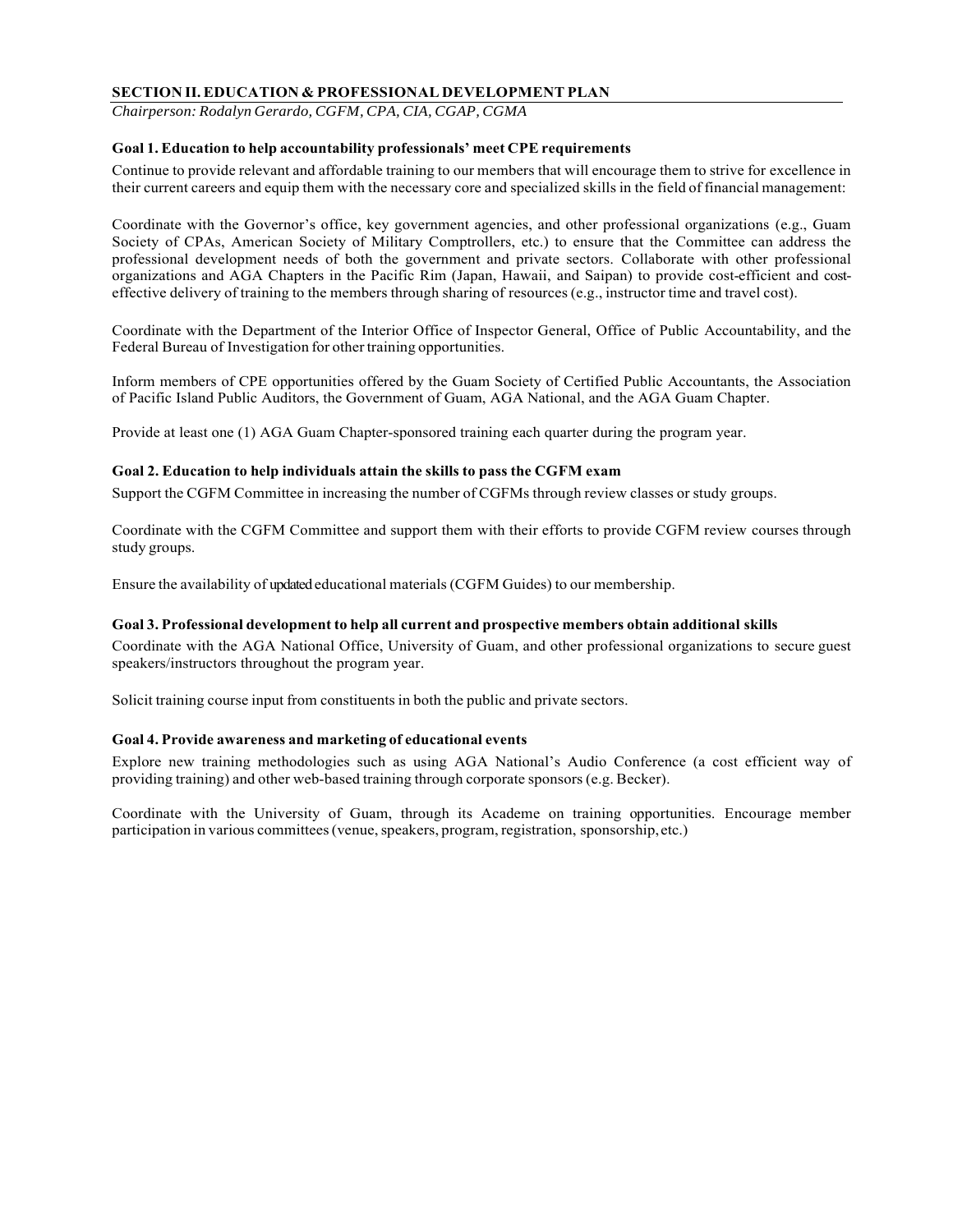# **SECTION II. EDUCATION & PROFESSIONAL DEVELOPMENT PLAN**

*Chairperson: Rodalyn Gerardo, CGFM, CPA, CIA, CGAP, CGMA* 

# **Goal 1. Education to help accountability professionals' meet CPE requirements**

Continue to provide relevant and affordable training to our members that will encourage them to strive for excellence in their current careers and equip them with the necessary core and specialized skills in the field of financial management:

Coordinate with the Governor's office, key government agencies, and other professional organizations (e.g., Guam Society of CPAs, American Society of Military Comptrollers, etc.) to ensure that the Committee can address the professional development needs of both the government and private sectors. Collaborate with other professional organizations and AGA Chapters in the Pacific Rim (Japan, Hawaii, and Saipan) to provide cost-efficient and costeffective delivery of training to the members through sharing of resources (e.g., instructor time and travel cost).

Coordinate with the Department of the Interior Office of Inspector General, Office of Public Accountability, and the Federal Bureau of Investigation for other training opportunities.

Inform members of CPE opportunities offered by the Guam Society of Certified Public Accountants, the Association of Pacific Island Public Auditors, the Government of Guam, AGA National, and the AGA Guam Chapter.

Provide at least one (1) AGA Guam Chapter-sponsored training each quarter during the program year.

# **Goal 2. Education to help individuals attain the skills to pass the CGFM exam**

Support the CGFM Committee in increasing the number of CGFMs through review classes or study groups.

Coordinate with the CGFM Committee and support them with their efforts to provide CGFM review courses through study groups.

Ensure the availability of updated educational materials (CGFM Guides) to our membership.

#### **Goal 3. Professional development to help all current and prospective members obtain additional skills**

Coordinate with the AGA National Office, University of Guam, and other professional organizations to secure guest speakers/instructors throughout the program year.

Solicit training course input from constituents in both the public and private sectors.

# **Goal 4. Provide awareness and marketing of educational events**

Explore new training methodologies such as using AGA National's Audio Conference (a cost efficient way of providing training) and other web-based training through corporate sponsors (e.g. Becker).

Coordinate with the University of Guam, through its Academe on training opportunities. Encourage member participation in various committees (venue, speakers, program, registration, sponsorship, etc.)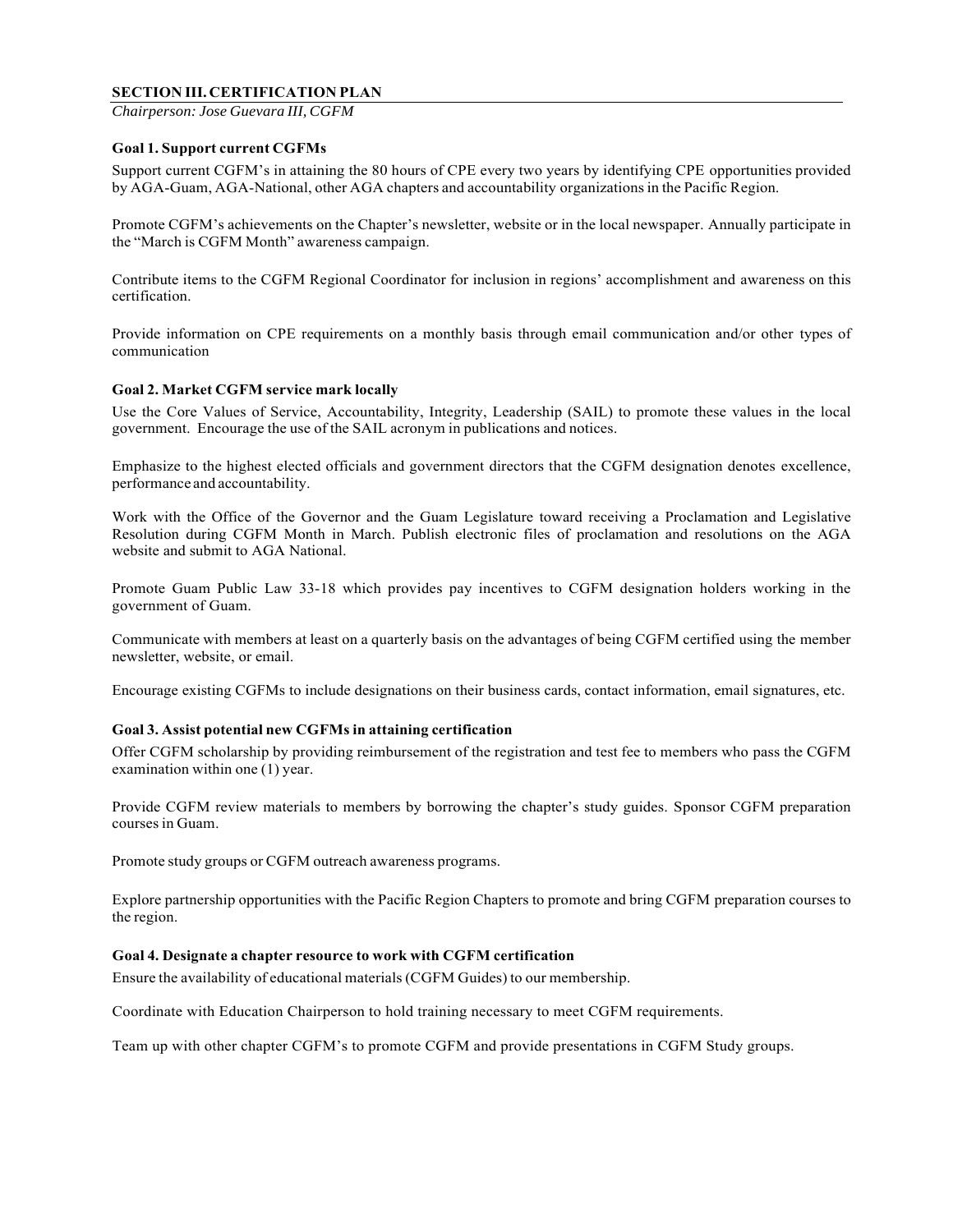# **SECTION III. CERTIFICATION PLAN**

*Chairperson: Jose Guevara III, CGFM*

#### **Goal 1. Support current CGFMs**

Support current CGFM's in attaining the 80 hours of CPE every two years by identifying CPE opportunities provided by AGA-Guam, AGA-National, other AGA chapters and accountability organizations in the Pacific Region.

Promote CGFM's achievements on the Chapter's newsletter, website or in the local newspaper. Annually participate in the "March is CGFM Month" awareness campaign.

Contribute items to the CGFM Regional Coordinator for inclusion in regions' accomplishment and awareness on this certification.

Provide information on CPE requirements on a monthly basis through email communication and/or other types of communication

#### **Goal 2. Market CGFM service mark locally**

Use the Core Values of Service, Accountability, Integrity, Leadership (SAIL) to promote these values in the local government. Encourage the use of the SAIL acronym in publications and notices.

Emphasize to the highest elected officials and government directors that the CGFM designation denotes excellence, performance and accountability.

Work with the Office of the Governor and the Guam Legislature toward receiving a Proclamation and Legislative Resolution during CGFM Month in March. Publish electronic files of proclamation and resolutions on the AGA website and submit to AGA National.

Promote Guam Public Law 33-18 which provides pay incentives to CGFM designation holders working in the government of Guam.

Communicate with members at least on a quarterly basis on the advantages of being CGFM certified using the member newsletter, website, or email.

Encourage existing CGFMs to include designations on their business cards, contact information, email signatures, etc.

#### **Goal 3. Assist potential new CGFMs in attaining certification**

Offer CGFM scholarship by providing reimbursement of the registration and test fee to members who pass the CGFM examination within one (1) year.

Provide CGFM review materials to members by borrowing the chapter's study guides. Sponsor CGFM preparation courses in Guam.

Promote study groups or CGFM outreach awareness programs.

Explore partnership opportunities with the Pacific Region Chapters to promote and bring CGFM preparation courses to the region.

# **Goal 4. Designate a chapter resource to work with CGFM certification**

Ensure the availability of educational materials (CGFM Guides) to our membership.

Coordinate with Education Chairperson to hold training necessary to meet CGFM requirements.

Team up with other chapter CGFM's to promote CGFM and provide presentations in CGFM Study groups.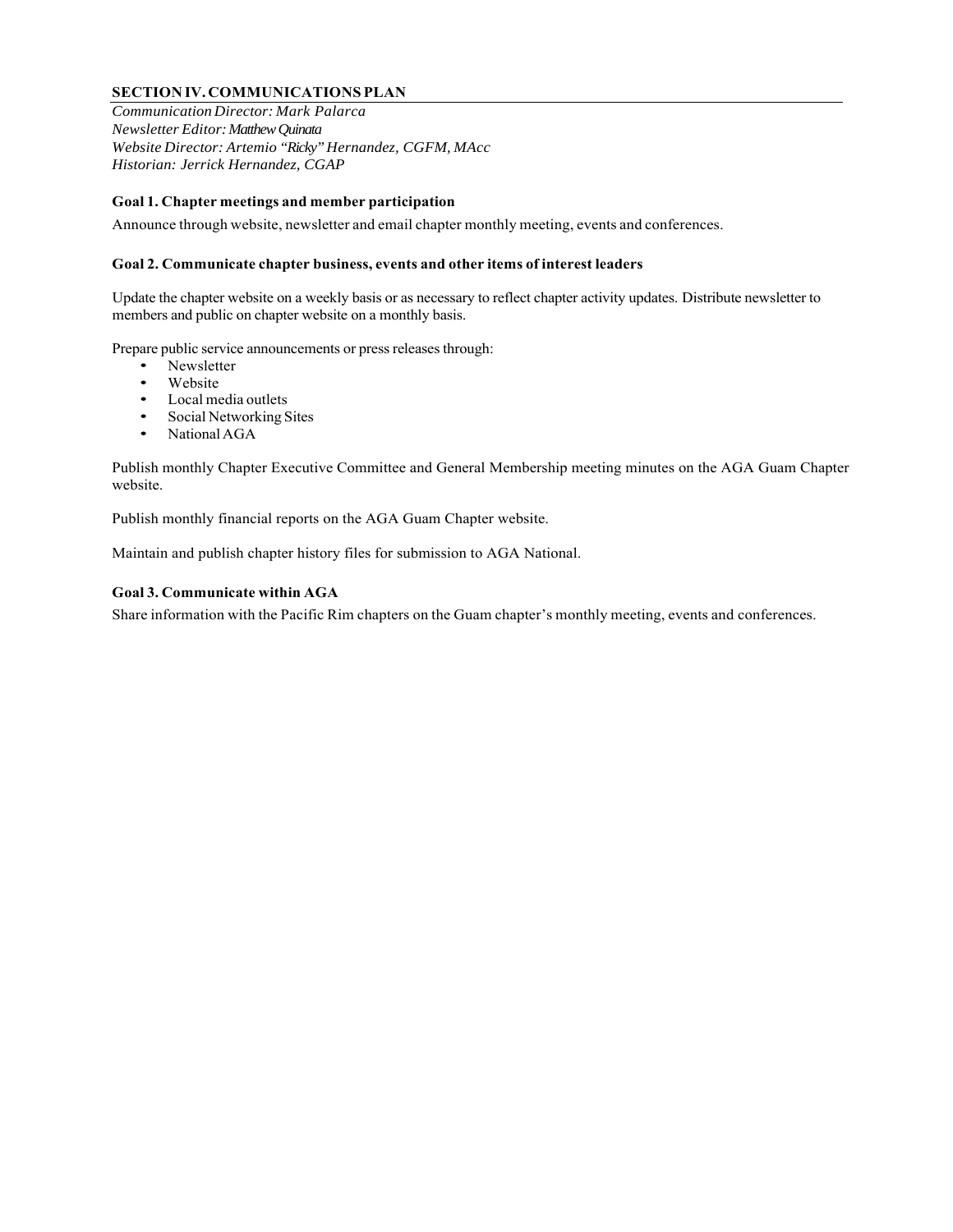# **SECTION IV. COMMUNICATIONS PLAN**

*Communication Director: Mark Palarca Newsletter Editor: Matthew Quinata Website Director: Artemio "Ricky" Hernandez, CGFM, MAcc Historian: Jerrick Hernandez, CGAP*

# **Goal 1. Chapter meetings and member participation**

Announce through website, newsletter and email chapter monthly meeting, events and conferences.

#### **Goal 2. Communicate chapter business, events and other items of interest leaders**

Update the chapter website on a weekly basis or as necessary to reflect chapter activity updates. Distribute newsletter to members and public on chapter website on a monthly basis.

Prepare public service announcements or press releases through:

- Newsletter
- Website
- Local media outlets
- Social Networking Sites
- National AGA

Publish monthly Chapter Executive Committee and General Membership meeting minutes on the AGA Guam Chapter website.

Publish monthly financial reports on the AGA Guam Chapter website.

Maintain and publish chapter history files for submission to AGA National.

# **Goal 3. Communicate within AGA**

Share information with the Pacific Rim chapters on the Guam chapter's monthly meeting, events and conferences.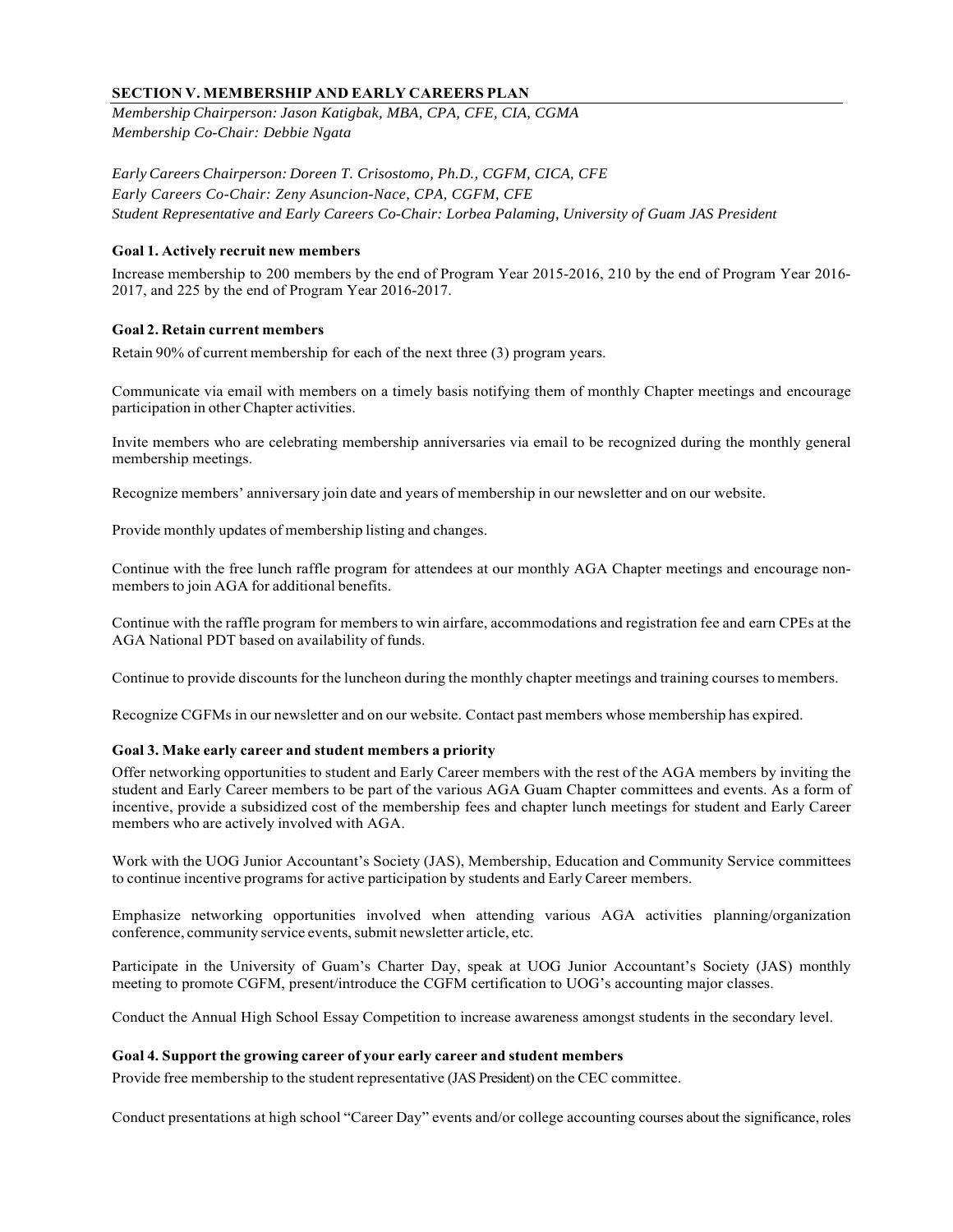# **SECTION V. MEMBERSHIP AND EARLY CAREERS PLAN**

*Membership Chairperson: Jason Katigbak, MBA, CPA, CFE, CIA, CGMA Membership Co-Chair: Debbie Ngata* 

*Early Careers Chairperson: Doreen T. Crisostomo, Ph.D., CGFM, CICA, CFE Early Careers Co-Chair: Zeny Asuncion-Nace, CPA, CGFM, CFE Student Representative and Early Careers Co-Chair: Lorbea Palaming, University of Guam JAS President*

#### **Goal 1. Actively recruit new members**

Increase membership to 200 members by the end of Program Year 2015-2016, 210 by the end of Program Year 2016- 2017, and 225 by the end of Program Year 2016-2017.

# **Goal 2. Retain current members**

Retain 90% of current membership for each of the next three (3) program years.

Communicate via email with members on a timely basis notifying them of monthly Chapter meetings and encourage participation in other Chapter activities.

Invite members who are celebrating membership anniversaries via email to be recognized during the monthly general membership meetings.

Recognize members' anniversary join date and years of membership in our newsletter and on our website.

Provide monthly updates of membership listing and changes.

Continue with the free lunch raffle program for attendees at our monthly AGA Chapter meetings and encourage nonmembers to join AGA for additional benefits.

Continue with the raffle program for members to win airfare, accommodations and registration fee and earn CPEs at the AGA National PDT based on availability of funds.

Continue to provide discounts for the luncheon during the monthly chapter meetings and training courses to members.

Recognize CGFMs in our newsletter and on our website. Contact past members whose membership has expired.

# **Goal 3. Make early career and student members a priority**

Offer networking opportunities to student and Early Career members with the rest of the AGA members by inviting the student and Early Career members to be part of the various AGA Guam Chapter committees and events. As a form of incentive, provide a subsidized cost of the membership fees and chapter lunch meetings for student and Early Career members who are actively involved with AGA.

Work with the UOG Junior Accountant's Society (JAS), Membership, Education and Community Service committees to continue incentive programs for active participation by students and Early Career members.

Emphasize networking opportunities involved when attending various AGA activities planning/organization conference, community service events, submit newsletter article, etc.

Participate in the University of Guam's Charter Day, speak at UOG Junior Accountant's Society (JAS) monthly meeting to promote CGFM, present/introduce the CGFM certification to UOG's accounting major classes.

Conduct the Annual High School Essay Competition to increase awareness amongst students in the secondary level.

#### **Goal 4. Support the growing career of your early career and student members**

Provide free membership to the student representative (JAS President) on the CEC committee.

Conduct presentations at high school "Career Day" events and/or college accounting courses about the significance, roles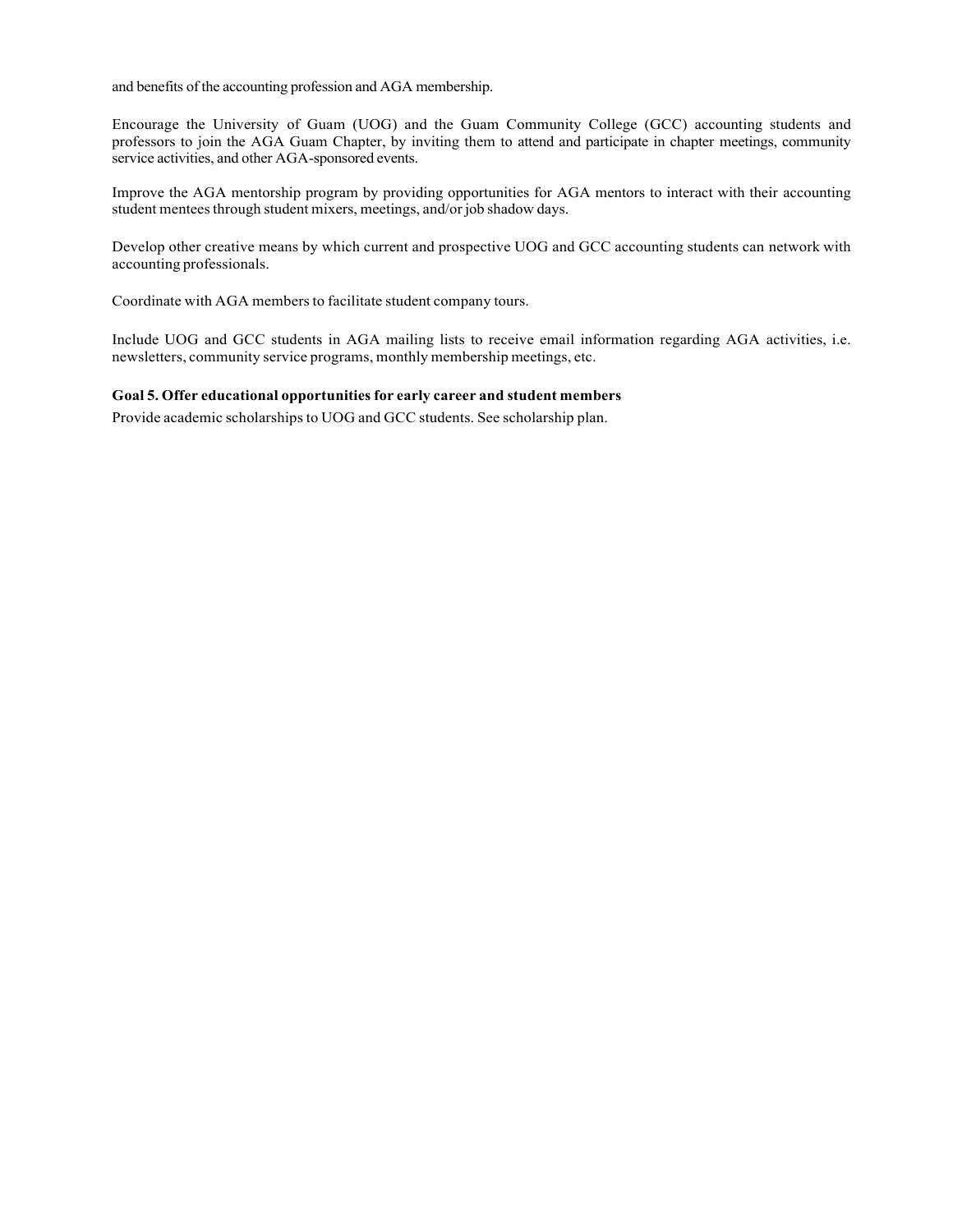and benefits of the accounting profession and AGA membership.

Encourage the University of Guam (UOG) and the Guam Community College (GCC) accounting students and professors to join the AGA Guam Chapter, by inviting them to attend and participate in chapter meetings, community service activities, and other AGA-sponsored events.

Improve the AGA mentorship program by providing opportunities for AGA mentors to interact with their accounting student mentees through student mixers, meetings, and/or job shadow days.

Develop other creative means by which current and prospective UOG and GCC accounting students can network with accounting professionals.

Coordinate with AGA members to facilitate student company tours.

Include UOG and GCC students in AGA mailing lists to receive email information regarding AGA activities, i.e. newsletters, community service programs, monthly membership meetings, etc.

#### **Goal 5. Offer educational opportunities for early career and student members**

Provide academic scholarships to UOG and GCC students. See scholarship plan.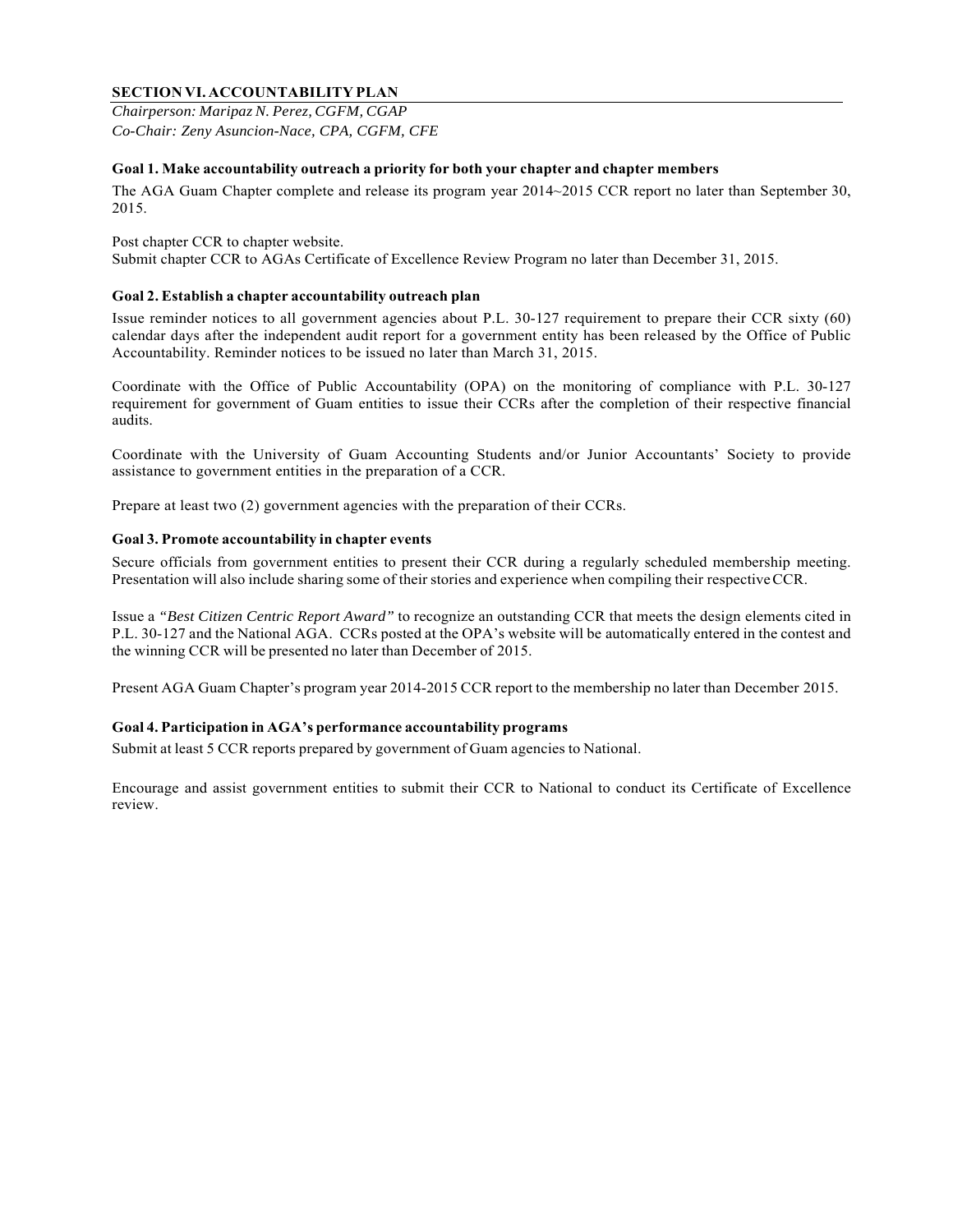# **SECTION VI. ACCOUNTABILITY PLAN**

*Chairperson: Maripaz N. Perez, CGFM, CGAP Co-Chair: Zeny Asuncion-Nace, CPA, CGFM, CFE* 

# **Goal 1. Make accountability outreach a priority for both your chapter and chapter members**

The AGA Guam Chapter complete and release its program year 2014~2015 CCR report no later than September 30, 2015.

Post chapter CCR to chapter website. Submit chapter CCR to AGAs Certificate of Excellence Review Program no later than December 31, 2015.

# **Goal 2. Establish a chapter accountability outreach plan**

Issue reminder notices to all government agencies about P.L. 30-127 requirement to prepare their CCR sixty (60) calendar days after the independent audit report for a government entity has been released by the Office of Public Accountability. Reminder notices to be issued no later than March 31, 2015.

Coordinate with the Office of Public Accountability (OPA) on the monitoring of compliance with P.L. 30-127 requirement for government of Guam entities to issue their CCRs after the completion of their respective financial audits.

Coordinate with the University of Guam Accounting Students and/or Junior Accountants' Society to provide assistance to government entities in the preparation of a CCR.

Prepare at least two (2) government agencies with the preparation of their CCRs.

# **Goal 3. Promote accountability in chapter events**

Secure officials from government entities to present their CCR during a regularly scheduled membership meeting. Presentation will also include sharing some of their stories and experience when compiling their respective CCR.

Issue a *"Best Citizen Centric Report Award"* to recognize an outstanding CCR that meets the design elements cited in P.L. 30-127 and the National AGA. CCRs posted at the OPA's website will be automatically entered in the contest and the winning CCR will be presented no later than December of 2015.

Present AGA Guam Chapter's program year 2014-2015 CCR report to the membership no later than December 2015.

# **Goal 4. Participation in AGA's performance accountability programs**

Submit at least 5 CCR reports prepared by government of Guam agencies to National.

Encourage and assist government entities to submit their CCR to National to conduct its Certificate of Excellence review.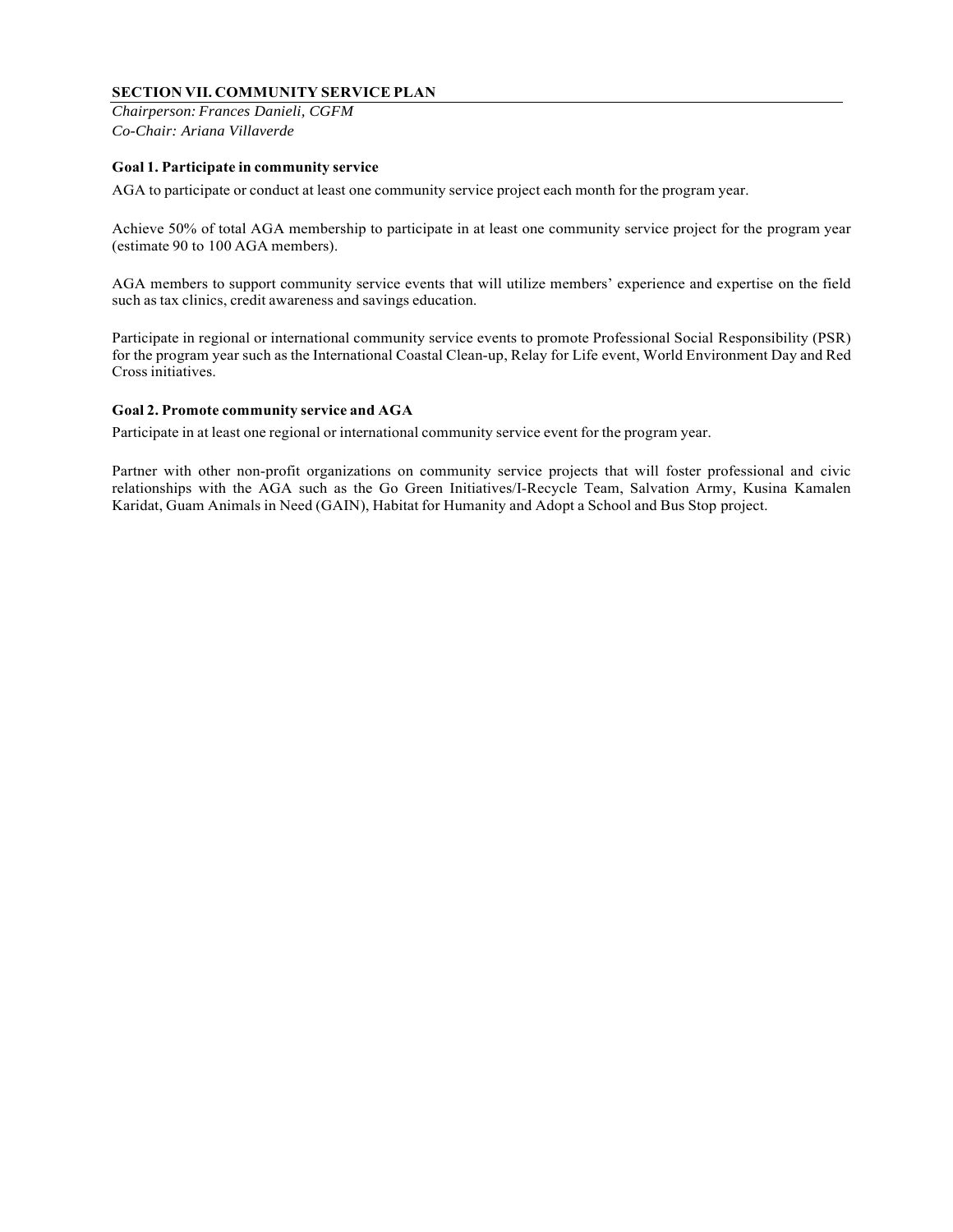# **SECTION VII. COMMUNITY SERVICE PLAN**

*Chairperson: Frances Danieli, CGFM Co-Chair: Ariana Villaverde*

# **Goal 1. Participate in community service**

AGA to participate or conduct at least one community service project each month for the program year.

Achieve 50% of total AGA membership to participate in at least one community service project for the program year (estimate 90 to 100 AGA members).

AGA members to support community service events that will utilize members' experience and expertise on the field such as tax clinics, credit awareness and savings education.

Participate in regional or international community service events to promote Professional Social Responsibility (PSR) for the program year such as the International Coastal Clean-up, Relay for Life event, World Environment Day and Red Cross initiatives.

# **Goal 2. Promote community service and AGA**

Participate in at least one regional or international community service event for the program year.

Partner with other non-profit organizations on community service projects that will foster professional and civic relationships with the AGA such as the Go Green Initiatives/I-Recycle Team, Salvation Army, Kusina Kamalen Karidat, Guam Animals in Need (GAIN), Habitat for Humanity and Adopt a School and Bus Stop project.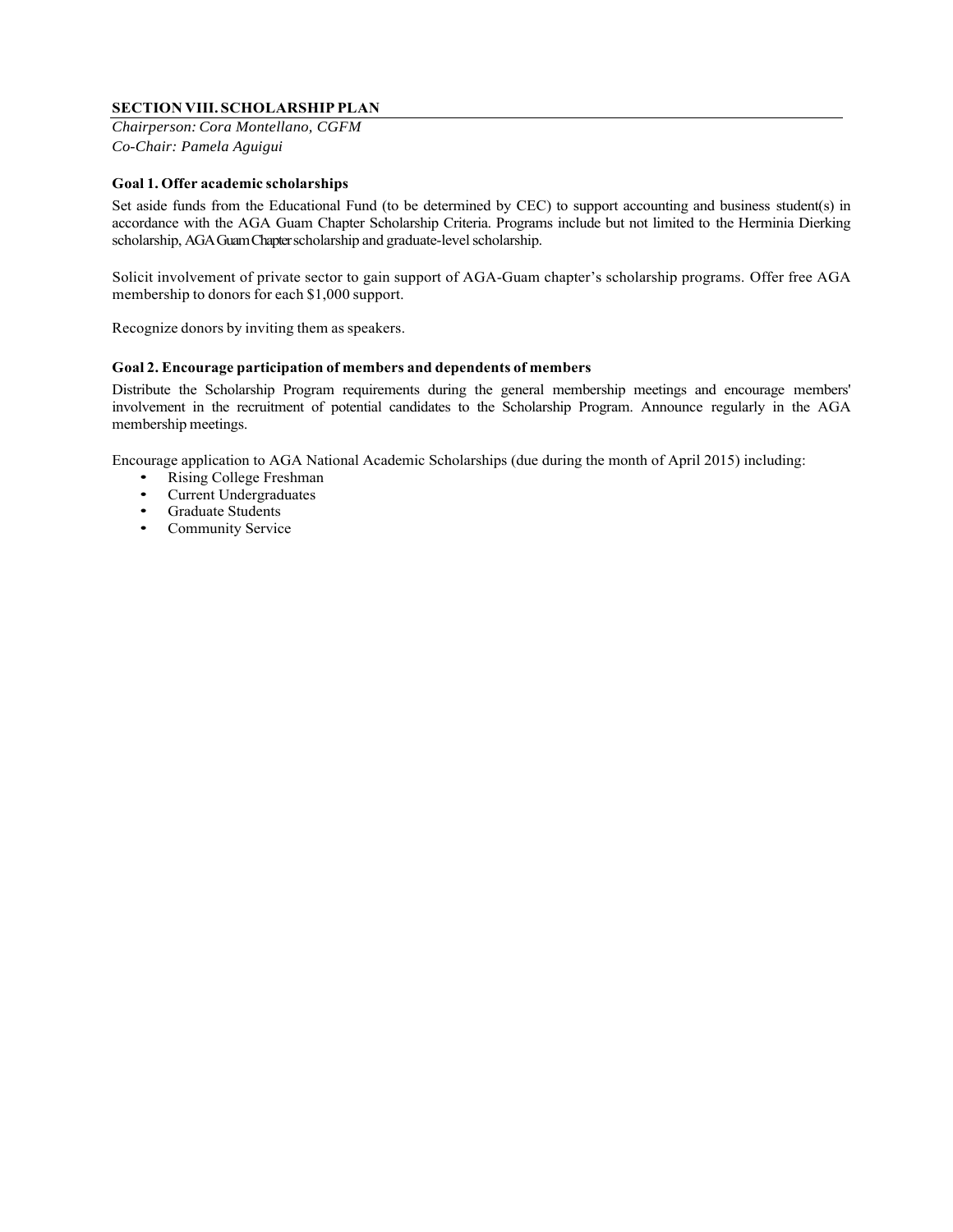# **SECTION VIII. SCHOLARSHIP PLAN**

*Chairperson: Cora Montellano, CGFM Co-Chair: Pamela Aguigui*

#### **Goal 1. Offer academic scholarships**

Set aside funds from the Educational Fund (to be determined by CEC) to support accounting and business student(s) in accordance with the AGA Guam Chapter Scholarship Criteria. Programs include but not limited to the Herminia Dierking scholarship, AGA Guam Chapter scholarship and graduate-level scholarship.

Solicit involvement of private sector to gain support of AGA-Guam chapter's scholarship programs. Offer free AGA membership to donors for each \$1,000 support.

Recognize donors by inviting them as speakers.

# **Goal 2. Encourage participation of members and dependents of members**

Distribute the Scholarship Program requirements during the general membership meetings and encourage members' involvement in the recruitment of potential candidates to the Scholarship Program. Announce regularly in the AGA membership meetings.

Encourage application to AGA National Academic Scholarships (due during the month of April 2015) including:

- Rising College Freshman
- Current Undergraduates<br>• Graduate Students
- Graduate Students
- Community Service